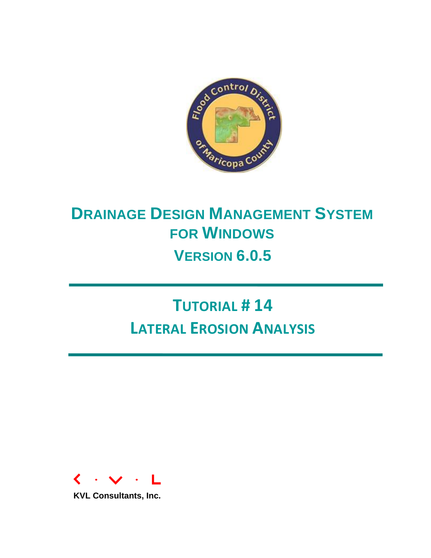

# **DRAINAGE DESIGN MANAGEMENT SYSTEM FOR WINDOWS VERSION 6.0.5**

# **TUTORIAL # 14 LATERAL EROSION ANALYSIS**



**KVL Consultants, Inc.**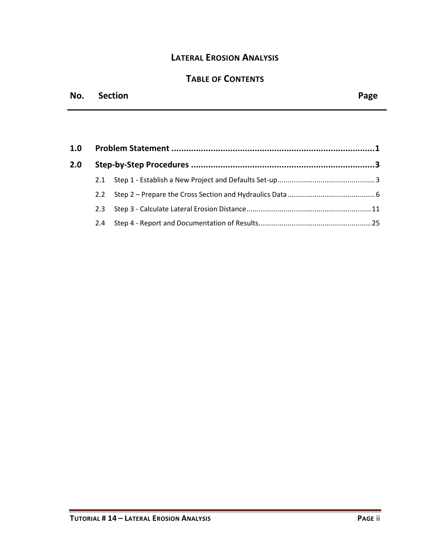# **LATERAL EROSION ANALYSIS**

# **TABLE OF CONTENTS**

# **No. Section Page**

| 2.0 |  |  |  |  |  |  |
|-----|--|--|--|--|--|--|
|     |  |  |  |  |  |  |
|     |  |  |  |  |  |  |
|     |  |  |  |  |  |  |
|     |  |  |  |  |  |  |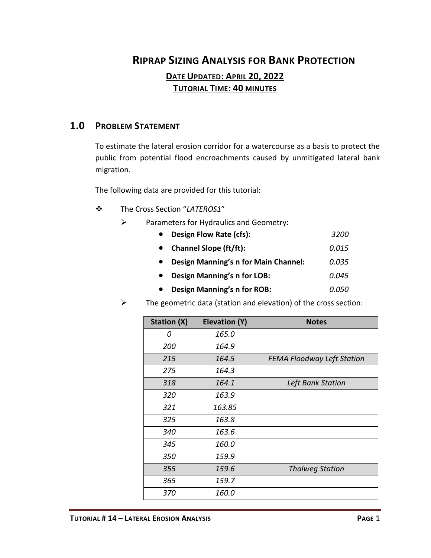# **RIPRAP SIZING ANALYSIS FOR BANK PROTECTION DATE UPDATED: APRIL 20, 2022 TUTORIAL TIME: 40 MINUTES**

## <span id="page-2-0"></span>**1.0 PROBLEM STATEMENT**

To estimate the lateral erosion corridor for a watercourse as a basis to protect the public from potential flood encroachments caused by unmitigated lateral bank migration.

The following data are provided for this tutorial:

- ❖ The Cross Section "*LATEROS1*"
	- ➢ Parameters for Hydraulics and Geometry:
		- **Design Flow Rate (cfs):** *3200*
		- **Channel Slope (ft/ft):** *0.015*
		- **Design Manning's n for Main Channel:** *0.035*
		- **Design Manning's n for LOB:** *0.045*
		- **Design Manning's n for ROB:** *0.050*
	- $\triangleright$  The geometric data (station and elevation) of the cross section:

| <b>Station (X)</b> | Elevation (Y) | <b>Notes</b>                      |
|--------------------|---------------|-----------------------------------|
| Ω                  | 165.0         |                                   |
| 200                | 164.9         |                                   |
| 215                | 164.5         | <b>FEMA Floodway Left Station</b> |
| 275                | 164.3         |                                   |
| 318                | 164.1         | Left Bank Station                 |
| 320                | 163.9         |                                   |
| 321                | 163.85        |                                   |
| 325                | 163.8         |                                   |
| 340                | 163.6         |                                   |
| 345                | 160.0         |                                   |
| 350                | 159.9         |                                   |
| 355                | 159.6         | <b>Thalweg Station</b>            |
| 365                | 159.7         |                                   |
| 370                | 160.0         |                                   |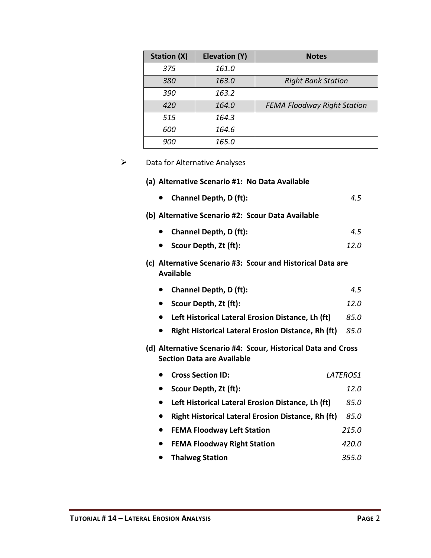| Station (X) | Elevation (Y) | <b>Notes</b>                       |
|-------------|---------------|------------------------------------|
| 375         | 161.0         |                                    |
| 380         | 163.0         | <b>Right Bank Station</b>          |
| 390         | 163.2         |                                    |
| 420         | 164.0         | <b>FEMA Floodway Right Station</b> |
| 515         | 164.3         |                                    |
| 600         | 164.6         |                                    |
| 900         | 165.0         |                                    |

#### ➢ Data for Alternative Analyses

#### **(a) Alternative Scenario #1: No Data Available**

• **Channel Depth, D (ft):** *4.5*

#### **(b) Alternative Scenario #2: Scour Data Available**

- **Channel Depth, D (ft):** *4.5*
- **Scour Depth, Zt (ft):** *12.0*

#### **(c) Alternative Scenario #3: Scour and Historical Data are Available**

- **Channel Depth, D (ft):** *4.5*
- **Scour Depth, Zt (ft):** *12.0*
- **Left Historical Lateral Erosion Distance, Lh (ft)** *85.0*
- **Right Historical Lateral Erosion Distance, Rh (ft)** *85.0*
- **(d) Alternative Scenario #4: Scour, Historical Data and Cross Section Data are Available**
	- **Cross Section ID:** *LATEROS1*
	- **Scour Depth, Zt (ft):** *12.0*
	- **Left Historical Lateral Erosion Distance, Lh (ft)** *85.0*
	- **Right Historical Lateral Erosion Distance, Rh (ft)** *85.0*
	- **FEMA Floodway Left Station** *215.0*
	- **FEMA Floodway Right Station** *420.0*
	- **Thalweg Station** *355.0*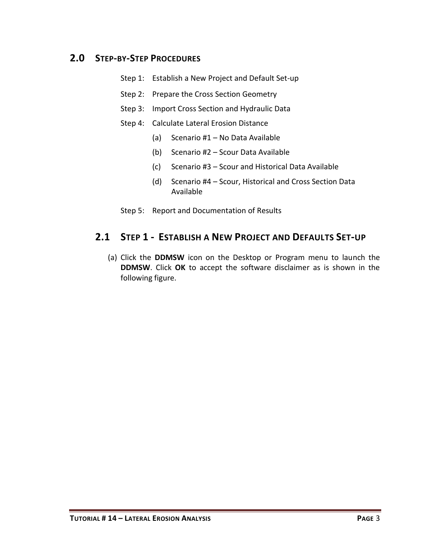## <span id="page-4-0"></span>**2.0 STEP-BY-STEP PROCEDURES**

- Step 1: Establish a New Project and Default Set-up
- Step 2: Prepare the Cross Section Geometry
- Step 3: Import Cross Section and Hydraulic Data
- Step 4: Calculate Lateral Erosion Distance
	- (a) Scenario #1 No Data Available
	- (b) Scenario #2 Scour Data Available
	- (c) Scenario #3 Scour and Historical Data Available
	- (d) Scenario #4 Scour, Historical and Cross Section Data Available
- Step 5: Report and Documentation of Results

## <span id="page-4-1"></span>**2.1 STEP 1 - ESTABLISH A NEW PROJECT AND DEFAULTS SET-UP**

(a) Click the **DDMSW** icon on the Desktop or Program menu to launch the **DDMSW**. Click **OK** to accept the software disclaimer as is shown in the following figure.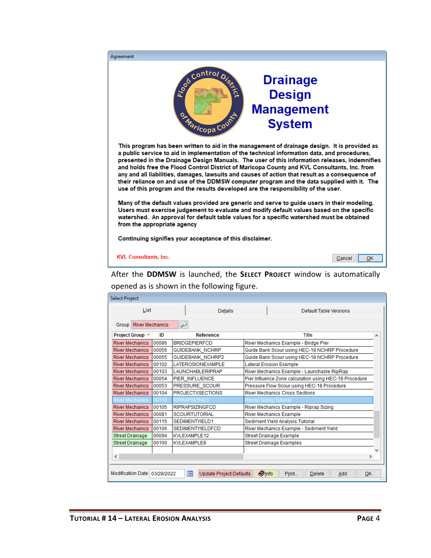| Agreement                                                                                                                                                                                                                                                                                                                                                                                                                                                                                                                                                                                                                                                                         |
|-----------------------------------------------------------------------------------------------------------------------------------------------------------------------------------------------------------------------------------------------------------------------------------------------------------------------------------------------------------------------------------------------------------------------------------------------------------------------------------------------------------------------------------------------------------------------------------------------------------------------------------------------------------------------------------|
| SOCONTROL DISEAS<br><b>Drainage</b><br><b>Design</b><br><b>Management</b><br>ormaricopa Cour<br><b>System</b>                                                                                                                                                                                                                                                                                                                                                                                                                                                                                                                                                                     |
| This program has been written to aid in the management of drainage design. It is provided as<br>a public service to aid in implementation of the technical information data, and procedures,<br>presented in the Drainage Design Manuals. The user of this information releases, indemnifies<br>and holds free the Flood Control District of Maricopa County and KVL Consultants, Inc. from<br>any and all liabilities, damages, lawsuits and causes of action that result as a consequence of<br>their reliance on and use of the DDMSW computer program and the data supplied with it. The<br>use of this program and the results developed are the responsibility of the user. |
| Many of the default values provided are generic and serve to guide users in their modeling.<br>Users must exercise judgement to evaluate and modify default values based on the specific<br>watershed. An approval for default table values for a specific watershed must be obtained<br>from the appropriate agency                                                                                                                                                                                                                                                                                                                                                              |
| Continuing signifies your acceptance of this disclaimer.                                                                                                                                                                                                                                                                                                                                                                                                                                                                                                                                                                                                                          |
| <b>KVL Consultants, Inc.</b><br>OK<br>Cancel                                                                                                                                                                                                                                                                                                                                                                                                                                                                                                                                                                                                                                      |

After the **DDMSW** is launched, the **SELECT PROJECT** window is automatically opened as is shown in the following figure.

| List                            |        | <b>Details</b>           | Default Table Versions                                 |  |  |
|---------------------------------|--------|--------------------------|--------------------------------------------------------|--|--|
| <b>River Mechanics</b><br>Group |        | لز                       |                                                        |  |  |
| Project Group A                 | ID     | <b>Reference</b>         | Title                                                  |  |  |
| <b>River Mechanics</b>          | 100086 | <b>BRIDGEPIERFCD</b>     | River Mechanics Example - Bridge Pier                  |  |  |
| <b>River Mechanics</b>          | 00056  | <b>GUIDEBANK NCHRP</b>   | Guide Bank Scour using HEC-18 NCHRP Procedure          |  |  |
| River Mechanics 100055          |        | <b>GUIDEBANK NCHRP2</b>  | Guide Bank Scour using HEC-18 NCHRP Procedure          |  |  |
| River Mechanics 00102           |        | <b>LATEROSIONEXAMPLE</b> | <b>Lateral Erosion Example</b>                         |  |  |
| River Mechanics 00103           |        | <b>LAUNCHABLERIPRAP</b>  | River Mechanics Example - Launchable RipRap            |  |  |
| <b>River Mechanics</b>          | 00054  | PIER INFLUENCE           | Pier Influence Zone calculation using HEC-18 Procedure |  |  |
| River Mechanics 00053           |        | PRESSURE SCOUR           | Pressure Flow Scour using HEC-18 Procedure             |  |  |
| River Mechanics 00104           |        | <b>PROJECTXSECTIONS</b>  | <b>River Mechanics Cross Sections</b>                  |  |  |
| River Mechanics                 | 00116  | RIPRAPSIZING1            | Riprap Sizing Tutorial                                 |  |  |
| River Mechanics 00105           |        | <b>RIPRAPSIZINGFCD</b>   | River Mechanics Example - Riprap Sizing                |  |  |
| <b>River Mechanics</b>          | 100081 | <b>SCOURTUTORIAL</b>     | River Mechanics Example                                |  |  |
| River Mechanics 00115           |        | SEDIMENTYIELD1           | Sediment Yield Analysis Tutorial                       |  |  |
| <b>River Mechanics</b>          | 00106  | <b>SEDIMENTYIELDFCD</b>  | River Mechanics Example - Sediment Yield               |  |  |
| <b>Street Drainage</b>          | 00094  | KVLEXAMPLE12             | Street Drainage Example                                |  |  |
| <b>Street Drainage</b>          | 00100  | <b>KVLEXAMPLE8</b>       | <b>Street Drainage Examples</b>                        |  |  |
|                                 |        |                          |                                                        |  |  |
| $\,<\,$                         |        |                          | $\rightarrow$                                          |  |  |
|                                 |        |                          |                                                        |  |  |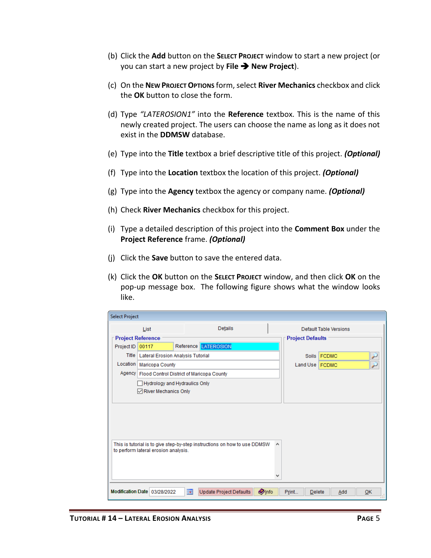- (b) Click the **Add** button on the **SELECT PROJECT** window to start a new project (or you can start a new project by **File** ➔ **New Project**).
- (c) On the **NEW PROJECT OPTIONS** form, select **River Mechanics** checkbox and click the **OK** button to close the form.
- (d) Type *"LATEROSION1"* into the **Reference** textbox. This is the name of this newly created project. The users can choose the name as long as it does not exist in the **DDMSW** database.
- (e) Type into the **Title** textbox a brief descriptive title of this project. *(Optional)*
- (f) Type into the **Location** textbox the location of this project. *(Optional)*
- (g) Type into the **Agency** textbox the agency or company name. *(Optional)*
- (h) Check **River Mechanics** checkbox for this project.
- (i) Type a detailed description of this project into the **Comment Box** under the **Project Reference** frame. *(Optional)*
- (j) Click the **Save** button to save the entered data.
- (k) Click the **OK** button on the **SELECT PROJECT** window, and then click **OK** on the pop-up message box. The following figure shows what the window looks like.

| <b>Select Project</b>                                                                                                  |                                                                                                                              |                        |                      |  |                         |             |  |   |
|------------------------------------------------------------------------------------------------------------------------|------------------------------------------------------------------------------------------------------------------------------|------------------------|----------------------|--|-------------------------|-------------|--|---|
|                                                                                                                        | List                                                                                                                         | Default Table Versions |                      |  |                         |             |  |   |
|                                                                                                                        | <b>Project Reference</b>                                                                                                     |                        |                      |  | <b>Project Defaults</b> |             |  |   |
| Project ID                                                                                                             | 00117                                                                                                                        |                        | Reference LATEROSION |  |                         |             |  |   |
| Title                                                                                                                  | Lateral Erosion Analysis Tutorial                                                                                            |                        |                      |  |                         | Soils FCDMC |  |   |
| Location                                                                                                               | Maricopa County                                                                                                              |                        |                      |  | Land Use   FCDMC        |             |  | ř |
|                                                                                                                        | Agency   Flood Control District of Maricopa County                                                                           |                        |                      |  |                         |             |  |   |
|                                                                                                                        | Hydrology and Hydraulics Only<br>River Mechanics Only                                                                        |                        |                      |  |                         |             |  |   |
| This is tutorial is to give step-by-step instructions on how to use DDMSW<br>∧<br>to perform lateral erosion analysis. |                                                                                                                              |                        |                      |  |                         |             |  |   |
|                                                                                                                        | ia.<br>Modification Date 03/28/2022<br><b>Olnfo</b><br><b>Update Project Defaults</b><br>Print<br>OK<br><b>Delete</b><br>Add |                        |                      |  |                         |             |  |   |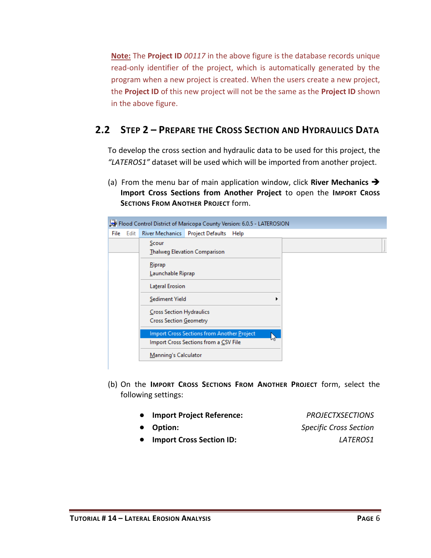**Note:** The **Project ID** *00117* in the above figure is the database records unique read-only identifier of the project, which is automatically generated by the program when a new project is created. When the users create a new project, the **Project ID** of this new project will not be the same as the **Project ID** shown in the above figure.

# <span id="page-7-0"></span>**2.2 STEP 2 – PREPARE THE CROSS SECTION AND HYDRAULICS DATA**

To develop the cross section and hydraulic data to be used for this project, the *"LATEROS1"* dataset will be used which will be imported from another project.

(a) From the menu bar of main application window, click **River Mechanics** ➔ **Import Cross Sections from Another Project** to open the **IMPORT CROSS SECTIONS FROM ANOTHER PROJECT** form.

|      |      |                                                    | Flood Control District of Maricopa County Version: 6.0.5 - LATEROSION               |  |
|------|------|----------------------------------------------------|-------------------------------------------------------------------------------------|--|
| File | Edit |                                                    | River Mechanics Project Defaults Help                                               |  |
|      |      | Scour                                              | <b>Thalweg Elevation Comparison</b>                                                 |  |
|      |      | Riprap<br>Launchable Riprap                        |                                                                                     |  |
|      |      | <b>Lateral Erosion</b>                             |                                                                                     |  |
|      |      | Sediment Yield                                     |                                                                                     |  |
|      |      | Cross Section Hydraulics<br>Cross Section Geometry |                                                                                     |  |
|      |      |                                                    | Import Cross Sections from Another Project<br>Import Cross Sections from a CSV File |  |
|      |      | Manning's Calculator                               |                                                                                     |  |
|      |      |                                                    |                                                                                     |  |

- (b) On the **IMPORT CROSS SECTIONS FROM ANOTHER PROJECT** form, select the following settings:
	- **Import Project Reference:** *PROJECTXSECTIONS*
	- **Option:** *Specific Cross Section* • **Import Cross Section ID:** *LATEROS1*
	-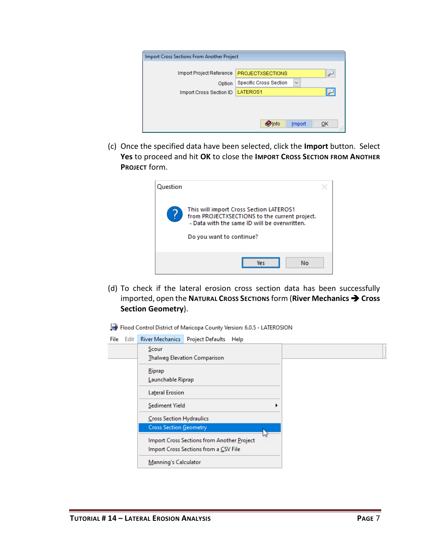| Import Cross Sections From Another Project |                                               |  |  |  |  |  |
|--------------------------------------------|-----------------------------------------------|--|--|--|--|--|
|                                            |                                               |  |  |  |  |  |
| Import Project Reference                   | <b>PROJECTXSECTIONS</b>                       |  |  |  |  |  |
| Option                                     | $\checkmark$<br><b>Specific Cross Section</b> |  |  |  |  |  |
| Import Cross Section ID                    | LATEROS1                                      |  |  |  |  |  |
|                                            |                                               |  |  |  |  |  |
|                                            |                                               |  |  |  |  |  |
|                                            |                                               |  |  |  |  |  |
|                                            | <b>D</b> Info<br>Import<br>OK                 |  |  |  |  |  |

(c) Once the specified data have been selected, click the **Import** button. Select **Yes** to proceed and hit **OK** to close the **IMPORT CROSS SECTION FROM ANOTHER PROJECT** form.

| Question |                                                                                                                                                                      |  |
|----------|----------------------------------------------------------------------------------------------------------------------------------------------------------------------|--|
|          | This will import Cross Section LATEROS1<br>from PROJECTXSECTIONS to the current project.<br>- Data with the same ID will be overwritten.<br>Do you want to continue? |  |
|          | No<br>Vec                                                                                                                                                            |  |

(d) To check if the lateral erosion cross section data has been successfully imported, open the **NATURAL CROSS SECTIONS** form (**River Mechanics** ➔ **Cross Section Geometry**).

|  |  |  | Flood Control District of Maricopa County Version: 6.0.5 - LATEROSION |
|--|--|--|-----------------------------------------------------------------------|
|  |  |  |                                                                       |

| File Edit |                               | River Mechanics Project Defaults Help                                               |    |  |
|-----------|-------------------------------|-------------------------------------------------------------------------------------|----|--|
|           | Scour                         | <b>Thalweg Elevation Comparison</b>                                                 |    |  |
|           | Riprap<br>Launchable Riprap   |                                                                                     |    |  |
|           | Lateral Erosion               |                                                                                     |    |  |
|           | Sediment Yield                |                                                                                     |    |  |
|           | Cross Section Hydraulics      |                                                                                     |    |  |
|           | <b>Cross Section Geometry</b> |                                                                                     |    |  |
|           |                               | Import Cross Sections from Another Project<br>Import Cross Sections from a CSV File | иr |  |
|           | Manning's Calculator          |                                                                                     |    |  |
|           |                               |                                                                                     |    |  |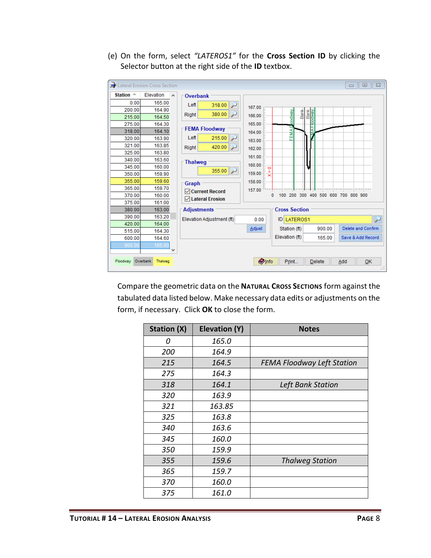(e) On the form, select *"LATEROS1"* for the **Cross Section ID** by clicking the Selector button at the right side of the **ID** textbox.



Compare the geometric data on the **NATURAL CROSS SECTIONS** form against the tabulated data listed below. Make necessary data edits or adjustments on the form, if necessary. Click **OK** to close the form.

| <b>Station (X)</b> | Elevation (Y) | <b>Notes</b>                      |
|--------------------|---------------|-----------------------------------|
| 0                  | 165.0         |                                   |
| 200                | 164.9         |                                   |
| 215                | 164.5         | <b>FEMA Floodway Left Station</b> |
| 275                | 164.3         |                                   |
| 318                | 164.1         | Left Bank Station                 |
| 320                | 163.9         |                                   |
| 321                | 163.85        |                                   |
| 325                | 163.8         |                                   |
| 340                | 163.6         |                                   |
| 345                | 160.0         |                                   |
| 350                | 159.9         |                                   |
| 355                | 159.6         | <b>Thalweg Station</b>            |
| 365                | 159.7         |                                   |
| 370                | 160.0         |                                   |
| 375                | 161.0         |                                   |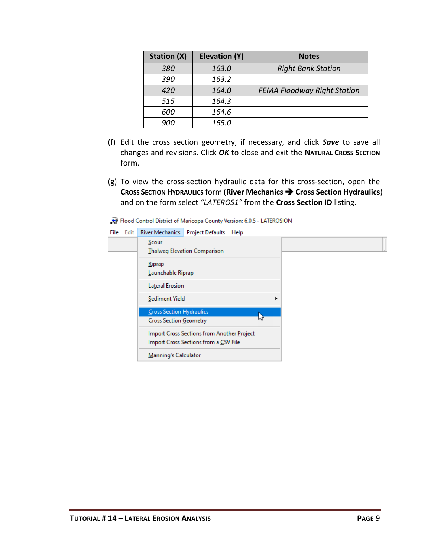| <b>Station (X)</b> | Elevation (Y) | <b>Notes</b>                       |
|--------------------|---------------|------------------------------------|
| 380                | 163.0         | <b>Right Bank Station</b>          |
| 390                | 163.2         |                                    |
| 420                | 164.0         | <b>FEMA Floodway Right Station</b> |
| 515                | 164.3         |                                    |
| 600                | 164.6         |                                    |
| 900                | 165.0         |                                    |

- (f) Edit the cross section geometry, if necessary, and click *Save* to save all changes and revisions. Click *OK* to close and exit the **NATURAL CROSS SECTION** form.
- (g) To view the cross-section hydraulic data for this cross-section, open the **CROSS SECTION HYDRAULICS** form (**River Mechanics** ➔ **Cross Section Hydraulics**) and on the form select *"LATEROS1"* from the **Cross Section ID** listing.

Flood Control District of Maricopa County Version: 6.0.5 - LATEROSION

|  |  |  | File Edit River Mechanics   Project Defaults Help |  |  |
|--|--|--|---------------------------------------------------|--|--|
|--|--|--|---------------------------------------------------|--|--|

| Scour<br><b>Thalweg Elevation Comparison</b>                                        |   |  |
|-------------------------------------------------------------------------------------|---|--|
| Riprap<br>Launchable Riprap                                                         |   |  |
| <b>Lateral Erosion</b>                                                              |   |  |
| Sediment Yield                                                                      | ١ |  |
| <b>Cross Section Hydraulics</b><br>Cross Section Geometry                           |   |  |
| Import Cross Sections from Another Project<br>Import Cross Sections from a CSV File |   |  |
| Manning's Calculator                                                                |   |  |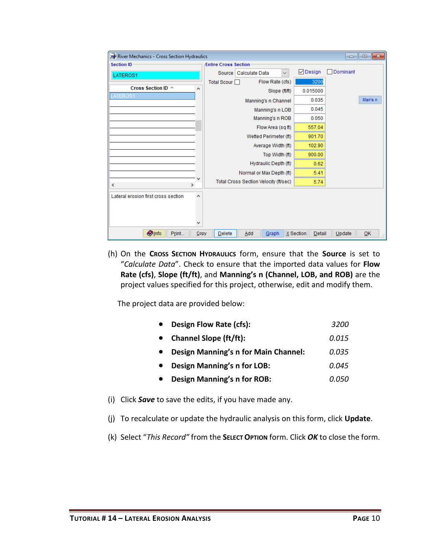| River Mechanics - Cross Section Hydraulics |                             |                                       |                       |              |                  |          | $\ x\ $<br><u>a   a </u> |
|--------------------------------------------|-----------------------------|---------------------------------------|-----------------------|--------------|------------------|----------|--------------------------|
| <b>Section ID</b>                          | <b>Entire Cross Section</b> |                                       |                       |              |                  |          |                          |
| LATEROS1                                   |                             | Source   Calculate Data               |                       | $\checkmark$ | $\boxdot$ Design | Dominant |                          |
|                                            | Total Scour                 |                                       | Flow Rate (cfs)       |              | 3200             |          |                          |
| Cross Section ID A                         | $\boldsymbol{\wedge}$       |                                       | Slope (ft/ft)         |              | 0.015000         |          |                          |
| <b>ATEROS1</b>                             |                             |                                       | Manning's n Channel   |              | 0.035            |          | Man's n                  |
|                                            |                             |                                       | Manning's n LOB       |              | 0.045            |          |                          |
|                                            |                             |                                       | Manning's n ROB       |              | 0.050            |          |                          |
|                                            |                             |                                       | Flow Area (sq ft)     |              | 557.04           |          |                          |
|                                            |                             |                                       | Wetted Perimeter (ft) |              | 901.70           |          |                          |
|                                            |                             |                                       | Average Width (ft)    |              | 102.90           |          |                          |
|                                            |                             |                                       | Top Width (ft)        |              | 900.00           |          |                          |
|                                            |                             |                                       | Hydraulic Depth (ft)  |              | 0.62             |          |                          |
|                                            |                             | Normal or Max Depth (ft)              |                       |              | 5.41             |          |                          |
| ≺<br>$\rightarrow$                         |                             | Total Cross Section Velocity (ft/sec) |                       |              | 5.74             |          |                          |
| Lateral erosion first cross section        | $\land$<br>v                |                                       |                       |              |                  |          |                          |
| <b>Olnfo</b><br>Print                      | <b>Delete</b><br>Copy       | Add                                   | Graph                 | X Section    | Detail           | Update   | QK<br>Æ.                 |

(h) On the **CROSS SECTION HYDRAULICS** form, ensure that the **Source** is set to "*Calculate Data*". Check to ensure that the imported data values for **Flow Rate (cfs)**, **Slope (ft/ft)**, and **Manning's n (Channel, LOB, and ROB)** are the project values specified for this project, otherwise, edit and modify them.

The project data are provided below:

| $\bullet$ | Design Flow Rate (cfs):                | 3200  |
|-----------|----------------------------------------|-------|
|           | • Channel Slope (ft/ft):               | 0.015 |
|           | • Design Manning's n for Main Channel: | 0.035 |
| $\bullet$ | <b>Design Manning's n for LOB:</b>     | 0.045 |

- **Design Manning's n for ROB:** *0.050*
- (i) Click *Save* to save the edits, if you have made any.
- (j) To recalculate or update the hydraulic analysis on this form, click **Update**.
- (k) Select "*This Record"* from the **SELECT OPTION** form. Click *OK* to close the form.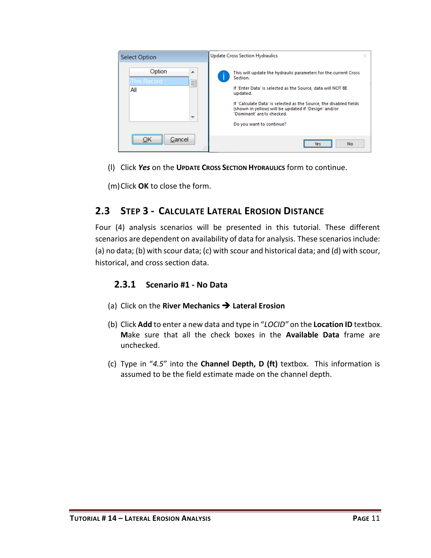

(l) Click *Yes* on the **UPDATE CROSS SECTION HYDRAULICS** form to continue.

(m)Click **OK** to close the form.

# <span id="page-12-0"></span>**2.3 STEP 3 - CALCULATE LATERAL EROSION DISTANCE**

Four (4) analysis scenarios will be presented in this tutorial. These different scenarios are dependent on availability of data for analysis. These scenarios include: (a) no data; (b) with scour data; (c) with scour and historical data; and (d) with scour, historical, and cross section data.

### **2.3.1 Scenario #1 - No Data**

- (a) Click on the **River Mechanics** ➔ **Lateral Erosion**
- (b) Click **Add** to enter a new data and type in "*LOCID"* on the **Location ID** textbox. **M**ake sure that all the check boxes in the **Available Data** frame are unchecked.
- (c) Type in "*4.5*" into the **Channel Depth, D (ft)** textbox. This information is assumed to be the field estimate made on the channel depth.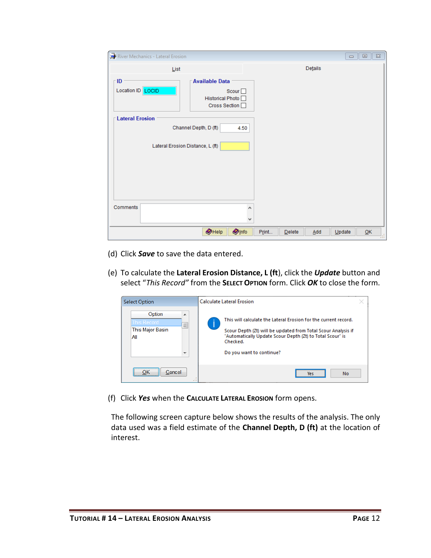| River Mechanics - Lateral Erosion                                                           |                                                                                   |                    |         | $\qquad \qquad \Box$ | $\Sigma\!$<br>$\Box$ |
|---------------------------------------------------------------------------------------------|-----------------------------------------------------------------------------------|--------------------|---------|----------------------|----------------------|
| List                                                                                        |                                                                                   |                    | Details |                      |                      |
| ID<br>Location ID   LOCID                                                                   | <b>Available Data</b><br>Scour $\square$<br>Historical Photo O<br>Cross Section O |                    |         |                      |                      |
| <b>Lateral Erosion</b><br>Channel Depth, D (ft)<br>4.50<br>Lateral Erosion Distance, L (ft) |                                                                                   |                    |         |                      |                      |
|                                                                                             |                                                                                   |                    |         |                      |                      |
| Comments                                                                                    | $\land$<br>$\checkmark$                                                           |                    |         |                      |                      |
|                                                                                             | $\bullet$ Help<br><b>O</b> Info                                                   | Print<br>$D$ elete | Add     | Update               | QK<br>w              |

- (d) Click *Save* to save the data entered.
- (e) To calculate the **Lateral Erosion Distance, L (ft**), click the *Update* button and select "*This Record"* from the **SELECT OPTION** form. Click *OK* to close the form.

| <b>Select Option</b>                                                                   | Calculate Lateral Erosion                                                                                                                                                                                                             |  |
|----------------------------------------------------------------------------------------|---------------------------------------------------------------------------------------------------------------------------------------------------------------------------------------------------------------------------------------|--|
| Option<br>▲<br>This Record<br>Ξ<br>This Major Basin<br>All<br>$\overline{\phantom{a}}$ | This will calculate the Lateral Erosion for the current record.<br>Scour Depth (Zt) will be updated from Total Scour Analysis if<br>"Automatically Update Scour Depth (Zt) to Total Scour" is<br>Checked.<br>Do you want to continue? |  |
| Cancel<br>$\cdot$                                                                      | <b>No</b><br>Yes                                                                                                                                                                                                                      |  |

(f) Click *Yes* when the **CALCULATE LATERAL EROSION** form opens.

The following screen capture below shows the results of the analysis. The only data used was a field estimate of the **Channel Depth, D (ft)** at the location of interest.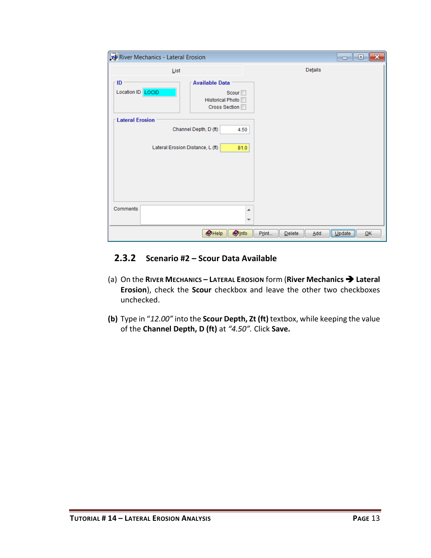|                                                                                                     | River Mechanics - Lateral Erosion<br>∥ x<br><b>a</b> 0                        |                               |              |  |  |  |
|-----------------------------------------------------------------------------------------------------|-------------------------------------------------------------------------------|-------------------------------|--------------|--|--|--|
| List                                                                                                |                                                                               | Details                       |              |  |  |  |
| - ID<br>Location ID LOCID                                                                           | <b>Available Data</b><br>Scour $\square$<br>Historical Photo<br>Cross Section |                               |              |  |  |  |
| <b>Lateral Erosion</b><br>Channel Depth, D (ft)<br>4.50<br>Lateral Erosion Distance, L (ft)<br>81.0 |                                                                               |                               |              |  |  |  |
| Comments                                                                                            | ▴<br>┯                                                                        |                               |              |  |  |  |
|                                                                                                     | $\bullet$ Help<br><b>O</b> Info                                               | Print<br><b>Delete</b><br>Add | Update<br>QK |  |  |  |

# **2.3.2 Scenario #2 – Scour Data Available**

- (a) On the **RIVER MECHANICS – LATERAL EROSION** form (**River Mechanics** ➔ **Lateral Erosion**), check the **Scour** checkbox and leave the other two checkboxes unchecked.
- **(b)** Type in "*12.00"* into the **Scour Depth, Zt (ft)** textbox, while keeping the value of the **Channel Depth, D (ft)** at *"4.50".* Click **Save.**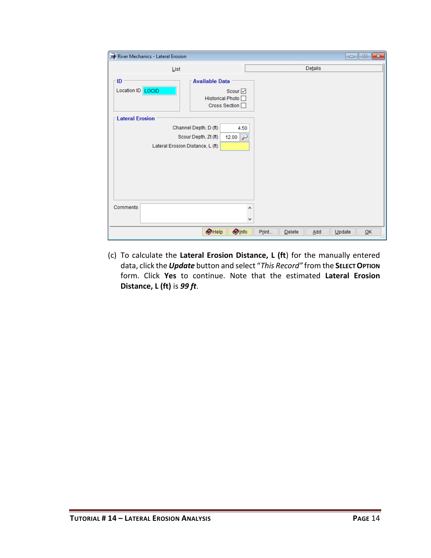| River Mechanics - Lateral Erosion                                      |                                                                                     |                    |         |        | ⊩x<br>$\Box$ e            |
|------------------------------------------------------------------------|-------------------------------------------------------------------------------------|--------------------|---------|--------|---------------------------|
| List                                                                   |                                                                                     |                    | Details |        |                           |
| r ID<br>Location ID   LOCID                                            | <b>Available Data</b><br>Scour $\boxdot$<br>Historical Photo<br>Cross Section       |                    |         |        |                           |
| <b>Lateral Erosion</b><br>Lateral Erosion Distance, L (ft)<br>Comments | Channel Depth, D (ft)<br>4.50<br>Scour Depth, Zt (ft)<br>$12.00$ $\rightarrow$<br>۸ |                    |         |        |                           |
|                                                                        | v                                                                                   |                    |         |        |                           |
|                                                                        | $\bigcirc$ Help<br><b>O</b> Info                                                    | Print<br>$D$ elete | Add     | Update | $\overline{\mathsf{O}}$ K |

(c) To calculate the **Lateral Erosion Distance, L (ft**) for the manually entered data, click the *Update* button and select "*This Record"* from the **SELECT OPTION** form. Click **Yes** to continue. Note that the estimated **Lateral Erosion Distance, L (ft)** is *99 ft*.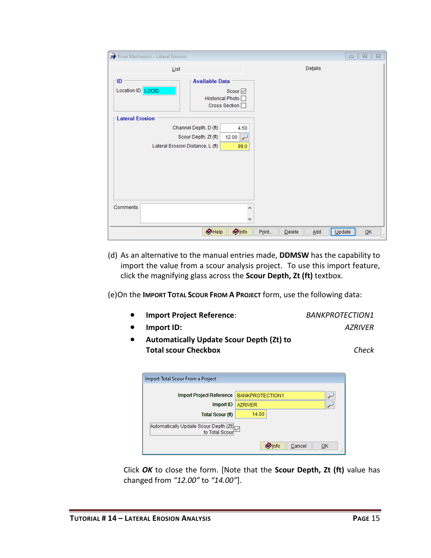| River Mechanics - Lateral Erosion                          |                                                                                        |                           | $\Sigma\!$<br>$\parallel$ 0<br>$\qquad \qquad \Box$ |
|------------------------------------------------------------|----------------------------------------------------------------------------------------|---------------------------|-----------------------------------------------------|
| List                                                       |                                                                                        | Details                   |                                                     |
| · ID<br>Location ID   LOCID                                | <b>Available Data</b><br>Scour $\boxdot$<br>Historical Photo<br>Cross Section O        |                           |                                                     |
| <b>Lateral Erosion</b><br>Lateral Erosion Distance, L (ft) | Channel Depth, D (ft)<br>4.50<br>$12.00$ $\rightarrow$<br>Scour Depth, Zt (ft)<br>99.0 |                           |                                                     |
| Comments                                                   | ۸<br>v                                                                                 |                           |                                                     |
|                                                            | $\bigcirc$ Help<br><b>Olnfo</b>                                                        | Print<br>Add<br>$D$ elete | Update<br>QK<br>w                                   |

(d) As an alternative to the manual entries made, **DDMSW** has the capability to import the value from a scour analysis project. To use this import feature, click the magnifying glass across the **Scour Depth, Zt (ft)** textbox.

(e)On the **IMPORT TOTAL SCOUR FROM A PROJECT** form, use the following data:

- **Import Project Reference**: *BANKPROTECTION1*
- **Import ID:** *AZRIVER*

• **Automatically Update Scour Depth (Zt) to Total scour Checkbox** *Check*

| ٠P<br>7<br>÷. |
|---------------|
|---------------|

| Import Total Scour From a Project                      |                        |
|--------------------------------------------------------|------------------------|
| Import Project Reference                               | <b>BANKPROTECTION1</b> |
| ImportID                                               | <b>AZRIVER</b>         |
| <b>Total Scour (ft)</b>                                | 14.00                  |
| Automatically Update Scour Depth (Zt)<br>to Total Scou |                        |
|                                                        | OK<br>Cancel           |

Click *OK* to close the form. [Note that the **Scour Depth, Zt (ft)** value has changed from *"12.00"* to *"14.00"*].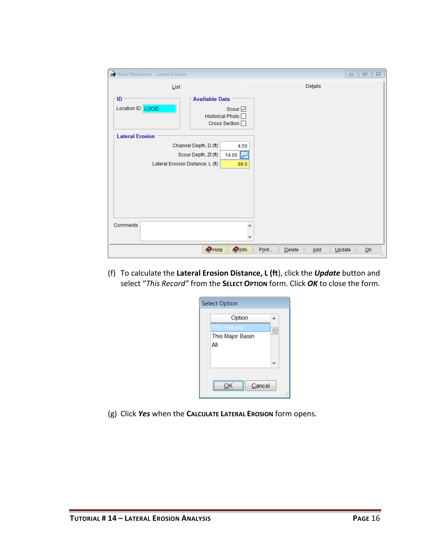| River Mechanics - Lateral Erosion                                                      |                                                                                                                                                                  |                    |         | $\Sigma$<br>$\Box$<br>$\qquad \qquad \Box$ |
|----------------------------------------------------------------------------------------|------------------------------------------------------------------------------------------------------------------------------------------------------------------|--------------------|---------|--------------------------------------------|
| List                                                                                   |                                                                                                                                                                  |                    | Details |                                            |
| ⊺ID<br>Location ID LOCID<br><b>Lateral Erosion</b><br>Lateral Erosion Distance, L (ft) | <b>Available Data</b><br>Scour $\boxdot$<br>Historical Photo O<br>Cross Section<br>Channel Depth, D (ft)<br>4.50<br>Scour Depth, Zt (ft)<br>14.00 $\sim$<br>99.0 |                    |         |                                            |
| Comments                                                                               | ۸<br>v                                                                                                                                                           |                    |         |                                            |
|                                                                                        | $\bigcirc$ Help<br><b>O</b> Info                                                                                                                                 | Print<br>$D$ elete | Add     | Update<br>QK                               |

(f) To calculate the **Lateral Erosion Distance, L (ft**), click the *Update* button and select "*This Record"* from the **SELECT OPTION** form. Click *OK* to close the form.

| <b>Select Option</b> |   |
|----------------------|---|
| Option               |   |
| This Record          | Ξ |
| This Major Basin     |   |
| All                  |   |
|                      |   |
|                      |   |
|                      |   |
|                      |   |
| Cancel               |   |
|                      |   |

(g) Click *Yes* when the **CALCULATE LATERAL EROSION** form opens.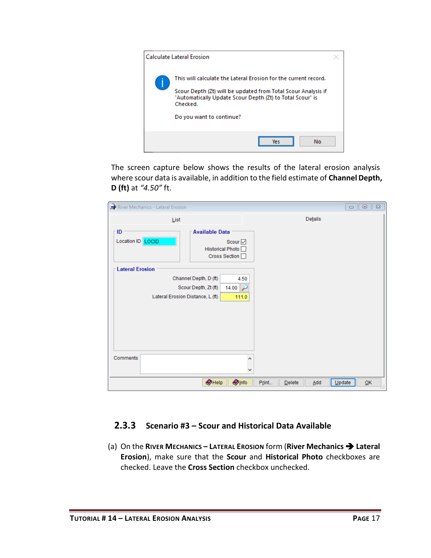

The screen capture below shows the results of the lateral erosion analysis where scour data is available, in addition to the field estimate of **Channel Depth, D (ft)** at *"4.50"* ft.

| River Mechanics - Lateral Erosion                          |                                                                                      |                                     | $\Sigma$<br>$\Box$<br>$\qquad \qquad \Box$ |
|------------------------------------------------------------|--------------------------------------------------------------------------------------|-------------------------------------|--------------------------------------------|
| List                                                       |                                                                                      | Details                             |                                            |
| r ID<br>Location ID   LOCID                                | <b>Available Data</b><br>Scour $\boxdot$<br>Historical Photo<br>Cross Section $\Box$ |                                     |                                            |
| <b>Lateral Erosion</b><br>Lateral Erosion Distance, L (ft) | Channel Depth, D (ft)<br>4.50<br>Scour Depth, Zt (ft)<br>14.00<br>111.0              |                                     |                                            |
| <b>Comments</b>                                            | Α<br>v                                                                               |                                     |                                            |
|                                                            | $\bullet$ Help<br><b>O</b> Info                                                      | Update<br>Print<br>$D$ elete<br>Add | $\underline{\mathsf{O}}\mathsf{K}$<br>w    |

### **2.3.3 Scenario #3 – Scour and Historical Data Available**

(a) On the **RIVER MECHANICS – LATERAL EROSION** form (**River Mechanics** ➔ **Lateral Erosion**), make sure that the **Scour** and **Historical Photo** checkboxes are checked. Leave the **Cross Section** checkbox unchecked.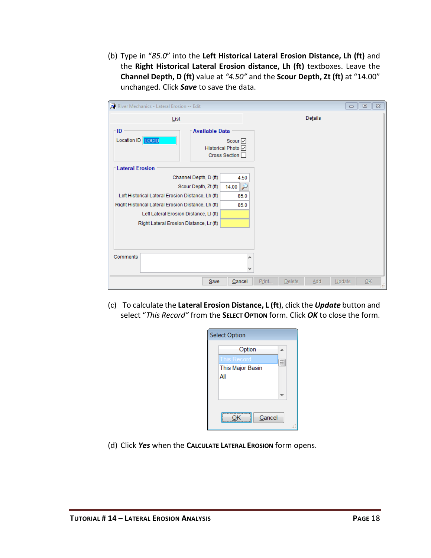(b) Type in "*85.0*" into the **Left Historical Lateral Erosion Distance, Lh (ft)** and the **Right Historical Lateral Erosion distance, Lh (ft)** textboxes. Leave the **Channel Depth, D (ft)** value at *"4.50"* and the **Scour Depth, Zt (ft)** at "14.00" unchanged. Click *Save* to save the data.

| River Mechanics - Lateral Erosion -- Edit                                                                                                                                                    |                                                                                                                          |                        |               | $\Sigma$<br>$\Box$<br>$\Box$ |
|----------------------------------------------------------------------------------------------------------------------------------------------------------------------------------------------|--------------------------------------------------------------------------------------------------------------------------|------------------------|---------------|------------------------------|
| List                                                                                                                                                                                         |                                                                                                                          |                        | Details       |                              |
| ۱D<br>Location ID  LOCID<br><b>Lateral Erosion</b>                                                                                                                                           | <b>Available Data</b><br>Scour $\overline{\vee}$<br>Historical Photo ☑<br>Cross Section<br>Channel Depth, D (ft)<br>4.50 |                        |               |                              |
| Left Historical Lateral Erosion Distance, Lh (ft)<br>Right Historical Lateral Erosion Distance, Lh (ft)<br>Left Lateral Erosion Distance, LI (ft)<br>Right Lateral Erosion Distance, Lr (ft) | Scour Depth, Zt (ft)<br>14.00<br>85.0<br>85.0                                                                            |                        |               |                              |
| Comments                                                                                                                                                                                     | Α<br>v                                                                                                                   |                        |               |                              |
|                                                                                                                                                                                              | Save<br>Cancel                                                                                                           | Print<br><b>Delete</b> | Update<br>Add | OK<br>1.1.1                  |

(c) To calculate the **Lateral Erosion Distance, L (ft**), click the *Update* button and select "*This Record"* from the **SELECT OPTION** form. Click *OK* to close the form.

| <b>Select Option</b> |   |
|----------------------|---|
| Option               |   |
| This Record          | Ξ |
| This Major Basin     |   |
| All                  |   |
|                      |   |
|                      |   |
|                      |   |
|                      |   |
| Cancel               |   |
|                      |   |

(d) Click *Yes* when the **CALCULATE LATERAL EROSION** form opens.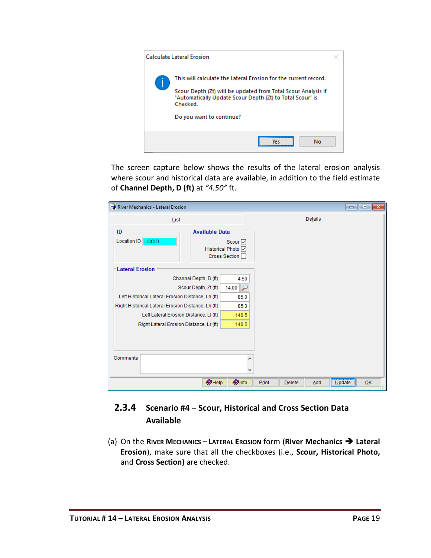

The screen capture below shows the results of the lateral erosion analysis where scour and historical data are available, in addition to the field estimate of **Channel Depth, D (ft)** at *"4.50"* ft.

| River Mechanics - Lateral Erosion                  |                                                              |                        |               | $\parallel x$<br>10<br>$\qquad \qquad \Box$ |
|----------------------------------------------------|--------------------------------------------------------------|------------------------|---------------|---------------------------------------------|
| List                                               |                                                              |                        | Details       |                                             |
| ∙ ID.<br>Location ID   LOCID                       | <b>Available Data</b><br>Historical Photo √<br>Cross Section | Scour $\triangledown$  |               |                                             |
| <b>Lateral Erosion</b>                             |                                                              |                        |               |                                             |
|                                                    | Channel Depth, D (ft)<br>Scour Depth, Zt (ft)                | 4.50<br>14.00          |               |                                             |
| Left Historical Lateral Erosion Distance, Lh (ft)  |                                                              | 85.0                   |               |                                             |
| Right Historical Lateral Erosion Distance, Lh (ft) |                                                              | 85.0                   |               |                                             |
| Left Lateral Erosion Distance, LI (ft)             |                                                              | 140.5                  |               |                                             |
| Right Lateral Erosion Distance, Lr (ft)            |                                                              | 140.5                  |               |                                             |
| Comments                                           |                                                              | ∧<br>$\checkmark$      |               |                                             |
|                                                    |                                                              |                        |               |                                             |
|                                                    | $\bullet$ Help                                               | <b>O</b> Info<br>Print | Delete<br>Add | Update<br>QK                                |

# **2.3.4 Scenario #4 – Scour, Historical and Cross Section Data Available**

(a) On the **RIVER MECHANICS – LATERAL EROSION** form (**River Mechanics** ➔ **Lateral Erosion**), make sure that all the checkboxes (i.e., **Scour, Historical Photo,**  and **Cross Section)** are checked.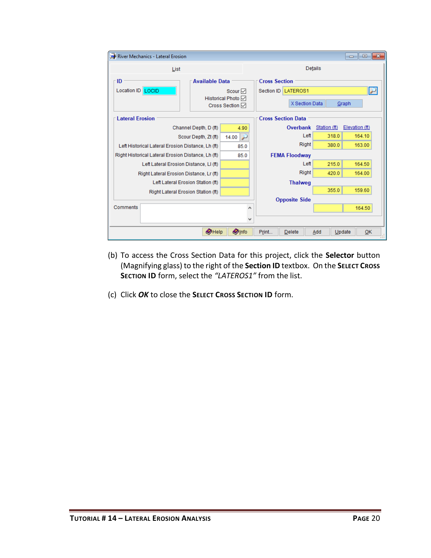| River Mechanics - Lateral Erosion<br>$\begin{array}{c c c c c c} \hline \multicolumn{3}{c }{\mathbf{C}} & \multicolumn{3}{c }{\mathbf{C}} & \multicolumn{3}{c }{\mathbf{X}} \\\hline \multicolumn{3}{c }{\mathbf{C}} & \multicolumn{3}{c }{\mathbf{C}} & \multicolumn{3}{c }{\mathbf{S}} & \multicolumn{3}{c }{\mathbf{X}} \\\hline \multicolumn{3}{c }{\mathbf{C}} & \multicolumn{3}{c }{\mathbf{C}} & \multicolumn{3}{c }{\mathbf{S}} & \multicolumn{3}{c }{\mathbf{S}} \\\hline \multicolumn$ |                                                   |                                               |      |                        |                |                          |  |
|--------------------------------------------------------------------------------------------------------------------------------------------------------------------------------------------------------------------------------------------------------------------------------------------------------------------------------------------------------------------------------------------------------------------------------------------------------------------------------------------------|---------------------------------------------------|-----------------------------------------------|------|------------------------|----------------|--------------------------|--|
| List                                                                                                                                                                                                                                                                                                                                                                                                                                                                                             |                                                   |                                               |      |                        | <b>Details</b> |                          |  |
| ID                                                                                                                                                                                                                                                                                                                                                                                                                                                                                               | <b>Available Data</b>                             |                                               |      | <b>Cross Section</b>   |                |                          |  |
| Location ID   LOCID                                                                                                                                                                                                                                                                                                                                                                                                                                                                              |                                                   | Scour $\overline{\vee}$<br>Historical Photo √ |      | Section ID   LATEROS1  |                | $\overline{\phantom{a}}$ |  |
|                                                                                                                                                                                                                                                                                                                                                                                                                                                                                                  |                                                   | Cross Section ☑                               |      | X Section Data         |                | Graph                    |  |
| <b>Lateral Erosion</b>                                                                                                                                                                                                                                                                                                                                                                                                                                                                           |                                                   |                                               |      |                        |                |                          |  |
|                                                                                                                                                                                                                                                                                                                                                                                                                                                                                                  | Channel Depth, D (ft)                             | 4.90                                          |      | Overbank               | Station (ft)   | Elevation (ft)           |  |
| Scour Depth, Zt (ft)                                                                                                                                                                                                                                                                                                                                                                                                                                                                             |                                                   | 14.00                                         |      | Left                   | 318.0          | 164.10                   |  |
|                                                                                                                                                                                                                                                                                                                                                                                                                                                                                                  | Left Historical Lateral Erosion Distance, Lh (ft) |                                               | 85.0 | Right                  | 380.0          | 163.00                   |  |
| Right Historical Lateral Erosion Distance, Lh (ft)                                                                                                                                                                                                                                                                                                                                                                                                                                               |                                                   | 85.0                                          |      | <b>FEMA Floodway</b>   |                |                          |  |
| Left Lateral Erosion Distance, LI (ft)                                                                                                                                                                                                                                                                                                                                                                                                                                                           |                                                   |                                               |      | Left                   | 215.0          | 164.50                   |  |
| Right Lateral Erosion Distance, Lr (ft)                                                                                                                                                                                                                                                                                                                                                                                                                                                          |                                                   |                                               |      | Right                  | 420.0          | 164.00                   |  |
| Left Lateral Erosion Station (ft)                                                                                                                                                                                                                                                                                                                                                                                                                                                                |                                                   |                                               |      | <b>Thalweg</b>         |                |                          |  |
| Right Lateral Erosion Station (ft)                                                                                                                                                                                                                                                                                                                                                                                                                                                               |                                                   |                                               |      |                        | 355.0          | 159.60                   |  |
|                                                                                                                                                                                                                                                                                                                                                                                                                                                                                                  |                                                   |                                               |      | <b>Opposite Side</b>   |                |                          |  |
| Comments                                                                                                                                                                                                                                                                                                                                                                                                                                                                                         |                                                   |                                               | ۸    |                        |                | 164.50                   |  |
| v                                                                                                                                                                                                                                                                                                                                                                                                                                                                                                |                                                   |                                               |      |                        |                |                          |  |
|                                                                                                                                                                                                                                                                                                                                                                                                                                                                                                  | $\bigcirc$ Help                                   | <b>O</b> Info                                 |      | Print<br><b>Delete</b> | Add            | OK<br>Update             |  |

- (b) To access the Cross Section Data for this project, click the **Selector** button (Magnifying glass) to the right of the **Section ID** textbox. On the **SELECT CROSS SECTION ID** form, select the *"LATEROS1"* from the list.
- (c) Click *OK* to close the **SELECT CROSS SECTION ID** form.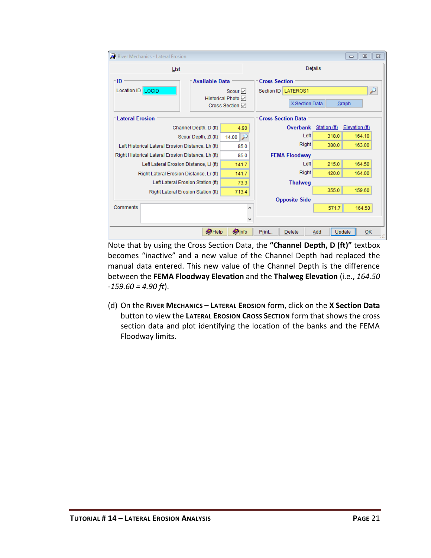| River Mechanics - Lateral Erosion                  |                       |                                            |   |                           |              | $\Box$<br>$\qquad \qquad \Box$ | $\Sigma$ |
|----------------------------------------------------|-----------------------|--------------------------------------------|---|---------------------------|--------------|--------------------------------|----------|
| List                                               |                       |                                            |   | <b>Details</b>            |              |                                |          |
| - ID                                               | <b>Available Data</b> |                                            |   | <b>Cross Section</b>      |              |                                |          |
| Location ID   LOCID                                |                       | Scour $\triangledown$                      |   | Section ID   LATEROS1     |              | $\overline{\phantom{a}}$       |          |
|                                                    |                       | <b>Historical Photo</b><br>Cross Section ☑ |   | X Section Data<br>Graph   |              |                                |          |
| <b>Lateral Erosion</b>                             |                       |                                            |   | <b>Cross Section Data</b> |              |                                |          |
|                                                    | Channel Depth, D (ft) | 4.90                                       |   | Overbank                  | Station (ft) | Elevation (ft)                 |          |
|                                                    | Scour Depth, Zt (ft)  | 14.00                                      |   | Left                      | 318.0        | 164.10                         |          |
| Left Historical Lateral Erosion Distance, Lh (ft)  |                       | 85.0                                       |   | Right                     | 380.0        | 163.00                         |          |
| Right Historical Lateral Erosion Distance, Lh (ft) |                       | 85.0                                       |   | <b>FEMA Floodway</b>      |              |                                |          |
| Left Lateral Erosion Distance, LI (ft)             |                       | 141.7                                      |   | Left                      | 215.0        | 164.50                         |          |
| Right Lateral Erosion Distance, Lr (ft)            |                       | 141.7                                      |   | Right                     | 420.0        | 164.00                         |          |
| Left Lateral Erosion Station (ft)                  |                       | 73.3                                       |   | <b>Thalweg</b>            |              |                                |          |
| Right Lateral Erosion Station (ft)                 |                       | 713.4                                      |   |                           | 355.0        | 159.60                         |          |
|                                                    |                       |                                            |   | <b>Opposite Side</b>      |              |                                |          |
| Comments                                           |                       |                                            | A |                           | 571.7        | 164.50                         |          |
| v                                                  |                       |                                            |   |                           |              |                                |          |
|                                                    | $\bigcirc$ Help       | <b>Olnfo</b>                               |   | Print<br><b>Delete</b>    | Add          | Update<br>QK                   |          |

Note that by using the Cross Section Data, the **"Channel Depth, D (ft)"** textbox becomes "inactive" and a new value of the Channel Depth had replaced the manual data entered. This new value of the Channel Depth is the difference between the **FEMA Floodway Elevation** and the **Thalweg Elevation** (i.e., *164.50 -159.60 = 4.90 ft*).

(d) On the **RIVER MECHANICS – LATERAL EROSION** form, click on the **X Section Data**  button to view the **LATERAL EROSION CROSS SECTION** form that shows the cross section data and plot identifying the location of the banks and the FEMA Floodway limits.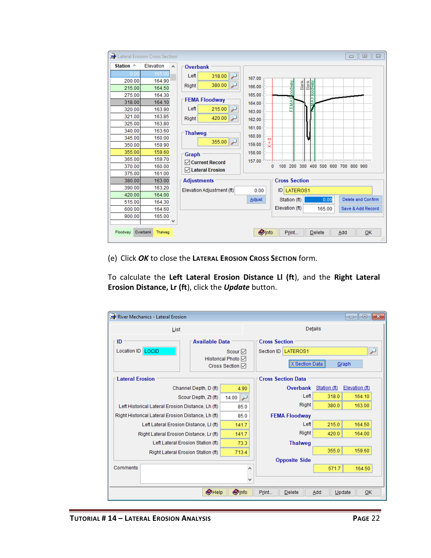|                     | Lateral Erosion Cross Section |                                    | $\Sigma$<br>$\Box$<br>$\Box$                                                                           |
|---------------------|-------------------------------|------------------------------------|--------------------------------------------------------------------------------------------------------|
| Station $\triangle$ | Elevation<br>۸                | Overbank                           |                                                                                                        |
|                     | 165.0                         | Left<br>318.00                     |                                                                                                        |
| 200.00              | 164.90                        |                                    | 167.00                                                                                                 |
| 215.00              | 164.50                        | 380.00<br>Right                    | 首<br>国<br>Bank<br>MAFloodway<br>podway<br>166.00                                                       |
| 275.00              | 164.30                        |                                    | 165.00<br>u                                                                                            |
| 318.00              | 164.10                        | <b>FEMA Floodway</b>               | FEMA<br>164.00                                                                                         |
| 320.00              | 163.90                        | Left<br>215.00                     | 163.00                                                                                                 |
| 321.00              | 163.85                        | 420.00<br>Right                    | 162.00                                                                                                 |
| 325.00              | 163.80                        |                                    | 161.00                                                                                                 |
| 340.00              | 163.60                        | <b>Thalweg</b>                     |                                                                                                        |
| 345.00              | 160.00                        | 355.00                             | 160.00<br>ö                                                                                            |
| 350.00              | 159.90                        |                                    | Ш<br>159.00<br>×                                                                                       |
| 355.00              | 159.60                        | Graph                              | 158.00                                                                                                 |
| 365.00              | 159.70                        | <b>▽ Current Record</b>            | an <b>b</b> ila ana kaominina mpambana kaominina m<br>hum <mark>humot</mark><br><b>THEFT</b><br>157.00 |
| 370.00              | 160.00                        | <b><del>○</del>Lateral Erosion</b> | 100 200 300 400 500 600 700 800 900<br>o                                                               |
| 375.00              | 161.00                        |                                    |                                                                                                        |
| 380.00              | 163.00                        | <b>Adjustments</b>                 | <b>Cross Section</b>                                                                                   |
| 390.00              | 163.20                        | Elevation Adjustment (ft)          | <b>ID LATEROS1</b><br>0.00                                                                             |
| 420.00              | 164.00                        |                                    | 0.00<br>Delete and Confirm<br>Station (ft)<br>Adjust                                                   |
| 515.00              | 164.30                        |                                    |                                                                                                        |
| 600.00              | 164.60                        |                                    | Elevation (ft)<br>Save & Add Record<br>165.00                                                          |
| 900.00              | 165.00                        |                                    |                                                                                                        |
|                     |                               |                                    |                                                                                                        |
| Floodway Overbank   | Thalweg                       |                                    | <b>Olnfo</b><br>Print<br>Add<br>QK<br>Delete                                                           |
|                     |                               |                                    | ЪŘ                                                                                                     |

(e) Click *OK* to close the **LATERAL EROSION CROSS SECTION** form.

To calculate the **Left Lateral Erosion Distance Ll (ft**), and the **Right Lateral Erosion Distance, Lr (ft**), click the *Update* button.

| River Mechanics - Lateral Erosion                  |                                         |                       |                       |                      |                           |              | $\begin{array}{c c c c c c} \hline \multicolumn{3}{c }{\mathbf{C}} & \multicolumn{3}{c }{\mathbf{C}} & \multicolumn{3}{c }{\mathbf{X}} \end{array}$ |  |
|----------------------------------------------------|-----------------------------------------|-----------------------|-----------------------|----------------------|---------------------------|--------------|-----------------------------------------------------------------------------------------------------------------------------------------------------|--|
|                                                    | List                                    |                       |                       |                      |                           | Details      |                                                                                                                                                     |  |
| ⊤ ID                                               |                                         | <b>Available Data</b> |                       |                      | <b>Cross Section</b>      |              |                                                                                                                                                     |  |
| Location ID   LOCID                                |                                         |                       | Scour $\triangledown$ |                      | Section ID   LATEROS1     |              | $\overline{r}$                                                                                                                                      |  |
|                                                    |                                         | Historical Photo √    | Cross Section ☑       |                      | X Section Data            |              | Graph                                                                                                                                               |  |
| <b>Lateral Erosion</b>                             |                                         |                       |                       |                      | <b>Cross Section Data</b> |              |                                                                                                                                                     |  |
|                                                    | Channel Depth, D (ft)                   |                       | 4.90                  |                      | Overbank                  | Station (ft) | Elevation (ft)                                                                                                                                      |  |
|                                                    | Scour Depth, Zt (ft)                    |                       | 14.00                 |                      | Left                      | 318.0        | 164.10                                                                                                                                              |  |
| Left Historical Lateral Erosion Distance, Lh (ft)  |                                         |                       | 85.0                  |                      | Right                     | 380.0        | 163.00                                                                                                                                              |  |
| Right Historical Lateral Erosion Distance, Lh (ft) |                                         |                       | 85.0                  | <b>FEMA Floodway</b> |                           |              |                                                                                                                                                     |  |
|                                                    | Left Lateral Erosion Distance, LI (ft)  |                       | 141.7                 |                      | Left                      | 215.0        | 164.50                                                                                                                                              |  |
|                                                    | Right Lateral Erosion Distance, Lr (ft) |                       | 141.7                 |                      | Right                     | 420.0        | 164.00                                                                                                                                              |  |
|                                                    | Left Lateral Erosion Station (ft)       |                       | 73.3                  |                      | <b>Thalweg</b>            |              |                                                                                                                                                     |  |
|                                                    | Right Lateral Erosion Station (ft)      |                       | 713.4                 |                      |                           | 355.0        | 159.60                                                                                                                                              |  |
|                                                    |                                         |                       |                       |                      | <b>Opposite Side</b>      |              |                                                                                                                                                     |  |
| Comments                                           |                                         |                       | ۸                     |                      |                           | 571.7        | 164.50                                                                                                                                              |  |
| v                                                  |                                         |                       |                       |                      |                           |              |                                                                                                                                                     |  |
|                                                    |                                         | $\bullet$ Help        | <b>Olnfo</b>          | Print                | <b>Delete</b>             | Add          | Update<br>OK                                                                                                                                        |  |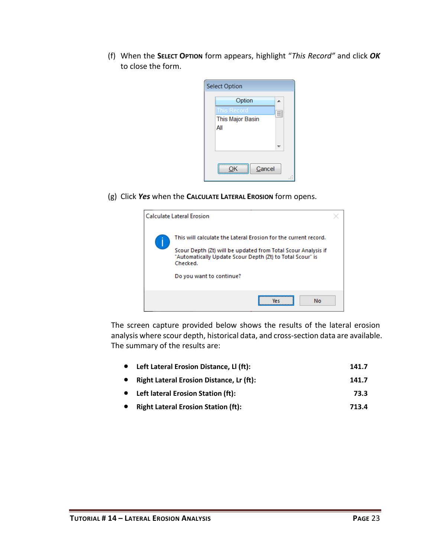(f) When the **SELECT OPTION** form appears, highlight "*This Record"* and click *OK* to close the form.

| <b>Select Option</b> |   |
|----------------------|---|
| Option               |   |
| <u>Thi</u> s Record  | Ξ |
| This Major Basin     |   |
| All                  |   |
|                      |   |
|                      |   |
|                      |   |
| Cancel               |   |
|                      |   |

(g) Click *Yes* when the **CALCULATE LATERAL EROSION** form opens.

| <b>Calculate Lateral Erosion</b>                                                                                                                                                                                                      |  |
|---------------------------------------------------------------------------------------------------------------------------------------------------------------------------------------------------------------------------------------|--|
| This will calculate the Lateral Erosion for the current record.<br>Scour Depth (Zt) will be updated from Total Scour Analysis if<br>"Automatically Update Scour Depth (Zt) to Total Scour" is<br>Checked.<br>Do you want to continue? |  |
| No<br>/a c                                                                                                                                                                                                                            |  |

The screen capture provided below shows the results of the lateral erosion analysis where scour depth, historical data, and cross-section data are available. The summary of the results are:

|           | • Left Lateral Erosion Distance, Ll (ft):       | 141.7 |
|-----------|-------------------------------------------------|-------|
| $\bullet$ | <b>Right Lateral Erosion Distance, Lr (ft):</b> | 141.7 |
|           | • Left lateral Erosion Station (ft):            | 73.3  |

• **Right Lateral Erosion Station (ft): 713.4**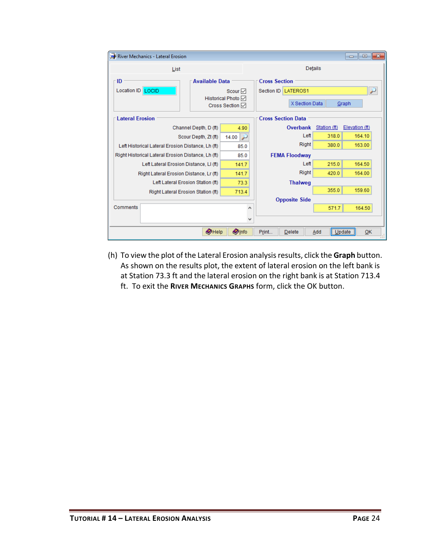| $\parallel x$<br><u>a 10</u><br>River Mechanics - Lateral Erosion                 |                                                                                          |   |                      |                            |                |  |  |  |
|-----------------------------------------------------------------------------------|------------------------------------------------------------------------------------------|---|----------------------|----------------------------|----------------|--|--|--|
| List                                                                              |                                                                                          |   |                      | <b>Details</b>             |                |  |  |  |
| ∙ ID                                                                              | <b>Available Data</b><br>Scour $\boxdot$<br>Historical Photo <b>○</b><br>Cross Section ☑ |   |                      | <b>Cross Section</b>       |                |  |  |  |
| Location ID   LOCID                                                               |                                                                                          |   |                      | Section ID   LATEROS1<br>۳ |                |  |  |  |
|                                                                                   |                                                                                          |   |                      | X Section Data<br>Graph    |                |  |  |  |
| <b>Lateral Erosion</b>                                                            | <b>Cross Section Data</b>                                                                |   |                      |                            |                |  |  |  |
| Channel Depth, D (ft)                                                             | 4.90                                                                                     |   | Overbank             | Station (ft)               | Elevation (ft) |  |  |  |
| Scour Depth, Zt (ft)                                                              | 14.00                                                                                    |   | Left                 | 318.0                      | 164.10         |  |  |  |
| Left Historical Lateral Erosion Distance, Lh (ft)                                 | 85.0                                                                                     |   | Right                | 380.0                      | 163.00         |  |  |  |
| Right Historical Lateral Erosion Distance, Lh (ft)                                | 85.0                                                                                     |   | <b>FEMA Floodway</b> |                            |                |  |  |  |
| Left Lateral Erosion Distance, LI (ft)                                            | 141.7                                                                                    |   | Left                 | 215.0                      | 164.50         |  |  |  |
| Right Lateral Erosion Distance, Lr (ft)                                           | 141.7                                                                                    |   | Right                | 420.0                      | 164.00         |  |  |  |
| Left Lateral Erosion Station (ft)                                                 | 73.3                                                                                     |   | <b>Thalweg</b>       |                            |                |  |  |  |
| Right Lateral Erosion Station (ft)                                                | 713.4                                                                                    |   |                      | 355.0                      | 159.60         |  |  |  |
| <b>Opposite Side</b>                                                              |                                                                                          |   |                      |                            |                |  |  |  |
| Comments                                                                          |                                                                                          | ۸ |                      | 571.7                      | 164.50         |  |  |  |
| $\checkmark$                                                                      |                                                                                          |   |                      |                            |                |  |  |  |
| $\bigcirc$ Help<br><b>O</b> Info<br>Update<br>Print<br>QK<br><b>Delete</b><br>Add |                                                                                          |   |                      |                            |                |  |  |  |

(h) To view the plot of the Lateral Erosion analysis results, click the **Graph** button. As shown on the results plot, the extent of lateral erosion on the left bank is at Station 73.3 ft and the lateral erosion on the right bank is at Station 713.4 ft. To exit the **RIVER MECHANICS GRAPHS** form, click the OK button.